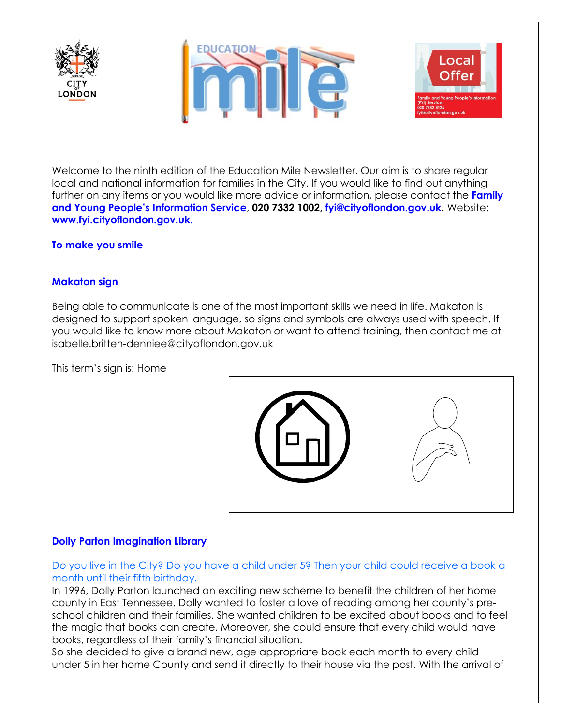





Welcome to the ninth edition of the Education Mile Newsletter. Our aim is to share regular local and national information for families in the City. If you would like to find out anything further on any items or you would like more advice or information, please contact the **Family and Young People's Information Service**, **020 7332 1002, [fyi@cityoflondon.gov.uk.](mailto:fyi@cityoflondon.gov.uk)** Website: **[www.fyi.cityoflondon.gov.uk.](http://www.fyi.cityoflondon.gov.uk/)**

#### **To make you smile**

#### **Makaton sign**

Being able to communicate is one of the most important skills we need in life. Makaton is designed to support spoken language, so signs and symbols are always used with speech. If you would like to know more about Makaton or want to attend training, then contact me at isabelle.britten-denniee@cityoflondon.gov.uk

This term's sign is: Home



#### **Dolly Parton Imagination Library**

Do you live in the City? Do you have a child under 5? Then your child could receive a book a month until their fifth birthday.

In 1996, Dolly Parton launched an exciting new scheme to benefit the children of her home county in East Tennessee. Dolly wanted to foster a love of reading among her county's preschool children and their families. She wanted children to be excited about books and to feel the magic that books can create. Moreover, she could ensure that every child would have books, regardless of their family's financial situation.

So she decided to give a brand new, age appropriate book each month to every child under 5 in her home County and send it directly to their house via the post. With the arrival of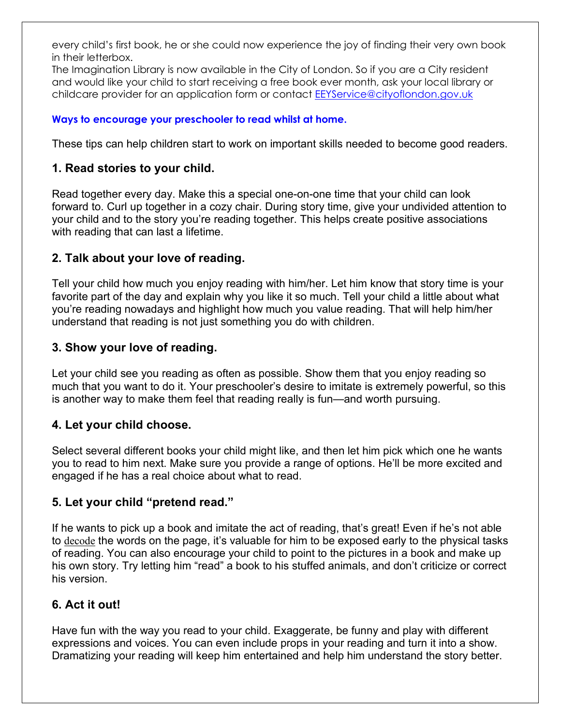every child's first book, he or she could now experience the joy of finding their very own book in their letterbox.

The Imagination Library is now available in the City of London. So if you are a City resident and would like your child to start receiving a free book ever month, ask your local library or childcare provider for an application form or contact **EEYService@cityoflondon.gov.uk** 

#### **Ways to encourage your preschooler to read whilst at home.**

These tips can help children start to work on important skills needed to become good readers.

### **1. Read stories to your child.**

Read together every day. Make this a special one-on-one time that your child can look forward to. Curl up together in a cozy chair. During story time, give your undivided attention to your child and to the story you're reading together. This helps create positive associations with reading that can last a lifetime.

# **2. Talk about your love of reading.**

Tell your child how much you enjoy reading with him/her. Let him know that story time is your favorite part of the day and explain why you like it so much. Tell your child a little about what you're reading nowadays and highlight how much you value reading. That will help him/her understand that reading is not just something you do with children.

# **3. Show your love of reading.**

Let your child see you reading as often as possible. Show them that you enjoy reading so much that you want to do it. Your preschooler's desire to imitate is extremely powerful, so this is another way to make them feel that reading really is fun—and worth pursuing.

#### **4. Let your child choose.**

Select several different books your child might like, and then let him pick which one he wants you to read to him next. Make sure you provide a range of options. He'll be more excited and engaged if he has a real choice about what to read.

# **5. Let your child "pretend read."**

If he wants to pick up a book and imitate the act of reading, that's great! Even if he's not able to [decode](https://www.understood.org/en/learning-attention-issues/child-learning-disabilities/dyslexia/12-terms-to-know-if-your-child-struggles-with-reading) the words on the page, it's valuable for him to be exposed early to the physical tasks of reading. You can also encourage your child to point to the pictures in a book and make up his own story. Try letting him "read" a book to his stuffed animals, and don't criticize or correct his version.

# **6. Act it out!**

Have fun with the way you read to your child. Exaggerate, be funny and play with different expressions and voices. You can even include props in your reading and turn it into a show. Dramatizing your reading will keep him entertained and help him understand the story better.